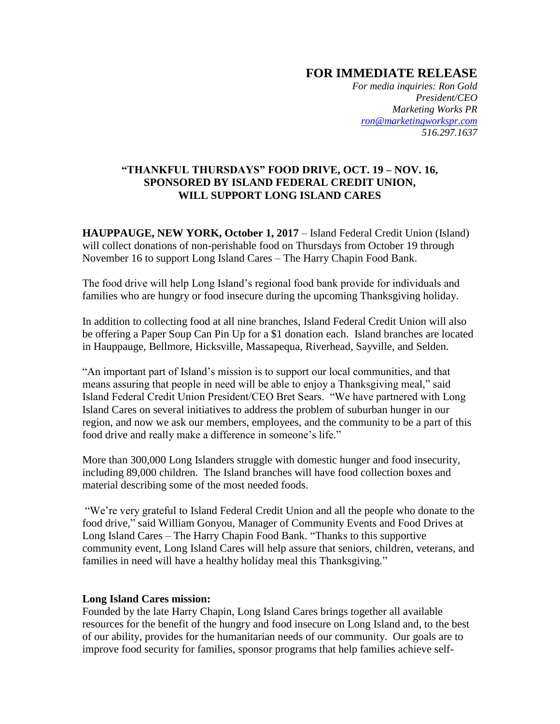## **FOR IMMEDIATE RELEASE**

*For media inquiries: Ron Gold President/CEO Marketing Works PR [ron@marketingworkspr.com](mailto:ron@marketingworkspr.com) 516.297.1637* 

## **"THANKFUL THURSDAYS" FOOD DRIVE, OCT. 19 – NOV. 16, SPONSORED BY ISLAND FEDERAL CREDIT UNION, WILL SUPPORT LONG ISLAND CARES**

**HAUPPAUGE, NEW YORK, October 1, 2017** – Island Federal Credit Union (Island) will collect donations of non-perishable food on Thursdays from October 19 through November 16 to support Long Island Cares – The Harry Chapin Food Bank.

The food drive will help Long Island's regional food bank provide for individuals and families who are hungry or food insecure during the upcoming Thanksgiving holiday.

In addition to collecting food at all nine branches, Island Federal Credit Union will also be offering a Paper Soup Can Pin Up for a \$1 donation each. Island branches are located in Hauppauge, Bellmore, Hicksville, Massapequa, Riverhead, Sayville, and Selden.

"An important part of Island's mission is to support our local communities, and that means assuring that people in need will be able to enjoy a Thanksgiving meal," said Island Federal Credit Union President/CEO Bret Sears. "We have partnered with Long Island Cares on several initiatives to address the problem of suburban hunger in our region, and now we ask our members, employees, and the community to be a part of this food drive and really make a difference in someone's life."

More than 300,000 Long Islanders struggle with domestic hunger and food insecurity, including 89,000 children. The Island branches will have food collection boxes and material describing some of the most needed foods.

"We're very grateful to Island Federal Credit Union and all the people who donate to the food drive," said William Gonyou, Manager of Community Events and Food Drives at Long Island Cares – The Harry Chapin Food Bank. "Thanks to this supportive community event, Long Island Cares will help assure that seniors, children, veterans, and families in need will have a healthy holiday meal this Thanksgiving."

## **Long Island Cares mission:**

Founded by the late Harry Chapin, Long Island Cares brings together all available resources for the benefit of the hungry and food insecure on Long Island and, to the best of our ability, provides for the humanitarian needs of our community. Our goals are to improve food security for families, sponsor programs that help families achieve self